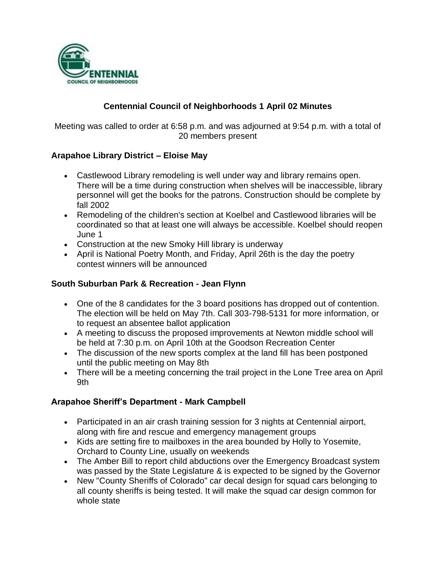

## **Centennial Council of Neighborhoods 1 April 02 Minutes**

Meeting was called to order at 6:58 p.m. and was adjourned at 9:54 p.m. with a total of 20 members present

### **Arapahoe Library District – Eloise May**

- Castlewood Library remodeling is well under way and library remains open. There will be a time during construction when shelves will be inaccessible, library personnel will get the books for the patrons. Construction should be complete by fall 2002
- Remodeling of the children's section at Koelbel and Castlewood libraries will be coordinated so that at least one will always be accessible. Koelbel should reopen June 1
- Construction at the new Smoky Hill library is underway
- April is National Poetry Month, and Friday, April 26th is the day the poetry contest winners will be announced

### **South Suburban Park & Recreation - Jean Flynn**

- One of the 8 candidates for the 3 board positions has dropped out of contention. The election will be held on May 7th. Call 303-798-5131 for more information, or to request an absentee ballot application
- A meeting to discuss the proposed improvements at Newton middle school will be held at 7:30 p.m. on April 10th at the Goodson Recreation Center
- The discussion of the new sports complex at the land fill has been postponed until the public meeting on May 8th
- There will be a meeting concerning the trail project in the Lone Tree area on April 9th

### **Arapahoe Sheriff's Department - Mark Campbell**

- Participated in an air crash training session for 3 nights at Centennial airport, along with fire and rescue and emergency management groups
- Kids are setting fire to mailboxes in the area bounded by Holly to Yosemite, Orchard to County Line, usually on weekends
- The Amber Bill to report child abductions over the Emergency Broadcast system was passed by the State Legislature & is expected to be signed by the Governor
- New "County Sheriffs of Colorado" car decal design for squad cars belonging to all county sheriffs is being tested. It will make the squad car design common for whole state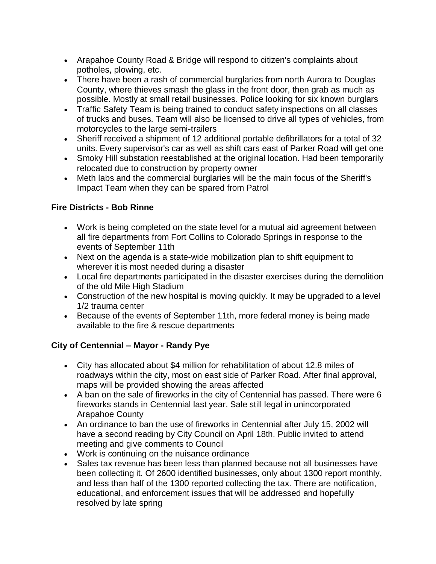- Arapahoe County Road & Bridge will respond to citizen's complaints about potholes, plowing, etc.
- There have been a rash of commercial burglaries from north Aurora to Douglas County, where thieves smash the glass in the front door, then grab as much as possible. Mostly at small retail businesses. Police looking for six known burglars
- Traffic Safety Team is being trained to conduct safety inspections on all classes of trucks and buses. Team will also be licensed to drive all types of vehicles, from motorcycles to the large semi-trailers
- Sheriff received a shipment of 12 additional portable defibrillators for a total of 32 units. Every supervisor's car as well as shift cars east of Parker Road will get one
- Smoky Hill substation reestablished at the original location. Had been temporarily relocated due to construction by property owner
- Meth labs and the commercial burglaries will be the main focus of the Sheriff's Impact Team when they can be spared from Patrol

## **Fire Districts - Bob Rinne**

- Work is being completed on the state level for a mutual aid agreement between all fire departments from Fort Collins to Colorado Springs in response to the events of September 11th
- Next on the agenda is a state-wide mobilization plan to shift equipment to wherever it is most needed during a disaster
- Local fire departments participated in the disaster exercises during the demolition of the old Mile High Stadium
- Construction of the new hospital is moving quickly. It may be upgraded to a level 1/2 trauma center
- Because of the events of September 11th, more federal money is being made available to the fire & rescue departments

# **City of Centennial – Mayor - Randy Pye**

- City has allocated about \$4 million for rehabilitation of about 12.8 miles of roadways within the city, most on east side of Parker Road. After final approval, maps will be provided showing the areas affected
- A ban on the sale of fireworks in the city of Centennial has passed. There were 6 fireworks stands in Centennial last year. Sale still legal in unincorporated Arapahoe County
- An ordinance to ban the use of fireworks in Centennial after July 15, 2002 will have a second reading by City Council on April 18th. Public invited to attend meeting and give comments to Council
- Work is continuing on the nuisance ordinance
- Sales tax revenue has been less than planned because not all businesses have been collecting it. Of 2600 identified businesses, only about 1300 report monthly, and less than half of the 1300 reported collecting the tax. There are notification, educational, and enforcement issues that will be addressed and hopefully resolved by late spring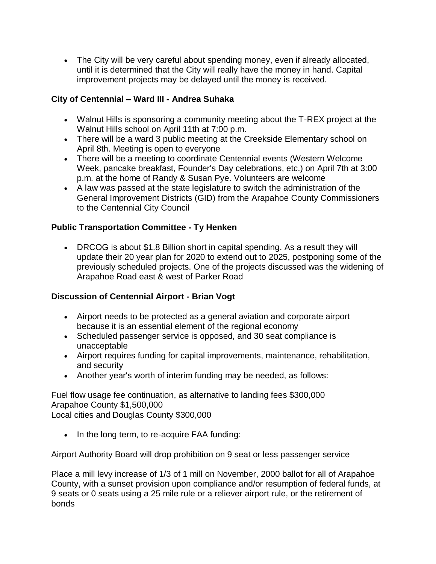The City will be very careful about spending money, even if already allocated, until it is determined that the City will really have the money in hand. Capital improvement projects may be delayed until the money is received.

## **City of Centennial – Ward III - Andrea Suhaka**

- Walnut Hills is sponsoring a community meeting about the T-REX project at the Walnut Hills school on April 11th at 7:00 p.m.
- There will be a ward 3 public meeting at the Creekside Elementary school on April 8th. Meeting is open to everyone
- There will be a meeting to coordinate Centennial events (Western Welcome Week, pancake breakfast, Founder's Day celebrations, etc.) on April 7th at 3:00 p.m. at the home of Randy & Susan Pye. Volunteers are welcome
- A law was passed at the state legislature to switch the administration of the General Improvement Districts (GID) from the Arapahoe County Commissioners to the Centennial City Council

## **Public Transportation Committee - Ty Henken**

 DRCOG is about \$1.8 Billion short in capital spending. As a result they will update their 20 year plan for 2020 to extend out to 2025, postponing some of the previously scheduled projects. One of the projects discussed was the widening of Arapahoe Road east & west of Parker Road

## **Discussion of Centennial Airport - Brian Vogt**

- Airport needs to be protected as a general aviation and corporate airport because it is an essential element of the regional economy
- Scheduled passenger service is opposed, and 30 seat compliance is unacceptable
- Airport requires funding for capital improvements, maintenance, rehabilitation, and security
- Another year's worth of interim funding may be needed, as follows:

Fuel flow usage fee continuation, as alternative to landing fees \$300,000 Arapahoe County \$1,500,000 Local cities and Douglas County \$300,000

• In the long term, to re-acquire FAA funding:

Airport Authority Board will drop prohibition on 9 seat or less passenger service

Place a mill levy increase of 1/3 of 1 mill on November, 2000 ballot for all of Arapahoe County, with a sunset provision upon compliance and/or resumption of federal funds, at 9 seats or 0 seats using a 25 mile rule or a reliever airport rule, or the retirement of bonds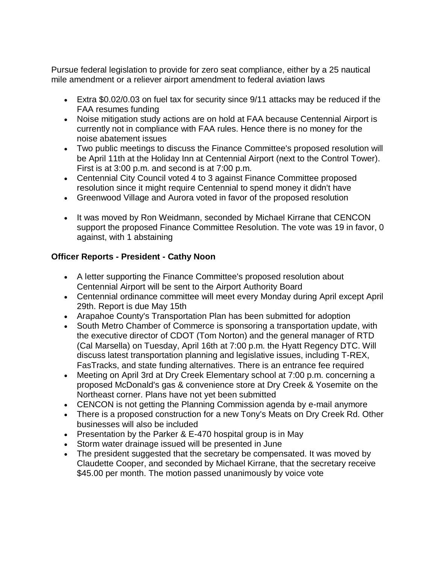Pursue federal legislation to provide for zero seat compliance, either by a 25 nautical mile amendment or a reliever airport amendment to federal aviation laws

- Extra \$0.02/0.03 on fuel tax for security since 9/11 attacks may be reduced if the FAA resumes funding
- Noise mitigation study actions are on hold at FAA because Centennial Airport is currently not in compliance with FAA rules. Hence there is no money for the noise abatement issues
- Two public meetings to discuss the Finance Committee's proposed resolution will be April 11th at the Holiday Inn at Centennial Airport (next to the Control Tower). First is at 3:00 p.m. and second is at 7:00 p.m.
- Centennial City Council voted 4 to 3 against Finance Committee proposed resolution since it might require Centennial to spend money it didn't have
- Greenwood Village and Aurora voted in favor of the proposed resolution
- It was moved by Ron Weidmann, seconded by Michael Kirrane that CENCON support the proposed Finance Committee Resolution. The vote was 19 in favor, 0 against, with 1 abstaining

# **Officer Reports - President - Cathy Noon**

- A letter supporting the Finance Committee's proposed resolution about Centennial Airport will be sent to the Airport Authority Board
- Centennial ordinance committee will meet every Monday during April except April 29th. Report is due May 15th
- Arapahoe County's Transportation Plan has been submitted for adoption
- South Metro Chamber of Commerce is sponsoring a transportation update, with the executive director of CDOT (Tom Norton) and the general manager of RTD (Cal Marsella) on Tuesday, April 16th at 7:00 p.m. the Hyatt Regency DTC. Will discuss latest transportation planning and legislative issues, including T-REX, FasTracks, and state funding alternatives. There is an entrance fee required
- Meeting on April 3rd at Dry Creek Elementary school at 7:00 p.m. concerning a proposed McDonald's gas & convenience store at Dry Creek & Yosemite on the Northeast corner. Plans have not yet been submitted
- CENCON is not getting the Planning Commission agenda by e-mail anymore
- There is a proposed construction for a new Tony's Meats on Dry Creek Rd. Other businesses will also be included
- Presentation by the Parker & E-470 hospital group is in May
- Storm water drainage issued will be presented in June
- The president suggested that the secretary be compensated. It was moved by Claudette Cooper, and seconded by Michael Kirrane, that the secretary receive \$45.00 per month. The motion passed unanimously by voice vote